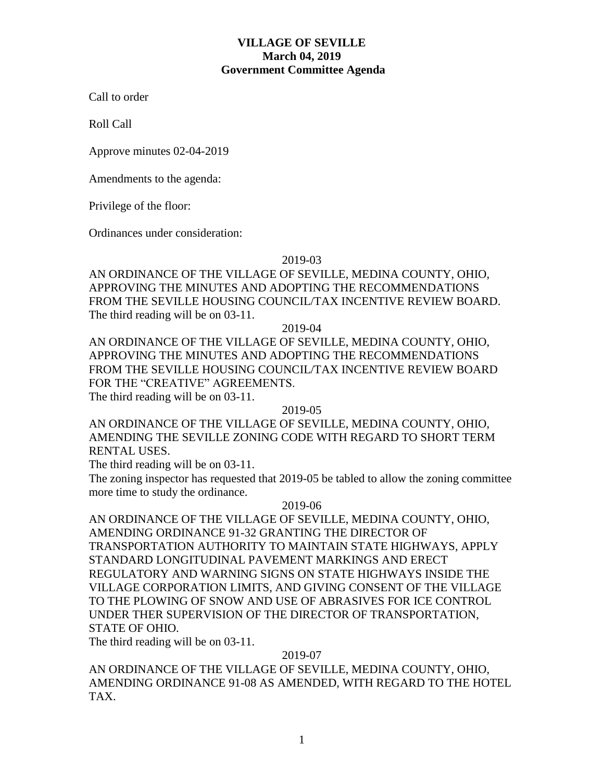# **VILLAGE OF SEVILLE March 04, 2019 Government Committee Agenda**

Call to order

Roll Call

Approve minutes 02-04-2019

Amendments to the agenda:

Privilege of the floor:

Ordinances under consideration:

2019-03

AN ORDINANCE OF THE VILLAGE OF SEVILLE, MEDINA COUNTY, OHIO, APPROVING THE MINUTES AND ADOPTING THE RECOMMENDATIONS FROM THE SEVILLE HOUSING COUNCIL/TAX INCENTIVE REVIEW BOARD. The third reading will be on 03-11.

2019-04

AN ORDINANCE OF THE VILLAGE OF SEVILLE, MEDINA COUNTY, OHIO, APPROVING THE MINUTES AND ADOPTING THE RECOMMENDATIONS FROM THE SEVILLE HOUSING COUNCIL/TAX INCENTIVE REVIEW BOARD FOR THE "CREATIVE" AGREEMENTS.

The third reading will be on 03-11.

2019-05

AN ORDINANCE OF THE VILLAGE OF SEVILLE, MEDINA COUNTY, OHIO, AMENDING THE SEVILLE ZONING CODE WITH REGARD TO SHORT TERM RENTAL USES.

The third reading will be on 03-11.

The zoning inspector has requested that 2019-05 be tabled to allow the zoning committee more time to study the ordinance.

2019-06

AN ORDINANCE OF THE VILLAGE OF SEVILLE, MEDINA COUNTY, OHIO, AMENDING ORDINANCE 91-32 GRANTING THE DIRECTOR OF TRANSPORTATION AUTHORITY TO MAINTAIN STATE HIGHWAYS, APPLY STANDARD LONGITUDINAL PAVEMENT MARKINGS AND ERECT REGULATORY AND WARNING SIGNS ON STATE HIGHWAYS INSIDE THE VILLAGE CORPORATION LIMITS, AND GIVING CONSENT OF THE VILLAGE TO THE PLOWING OF SNOW AND USE OF ABRASIVES FOR ICE CONTROL UNDER THER SUPERVISION OF THE DIRECTOR OF TRANSPORTATION, STATE OF OHIO.

The third reading will be on 03-11.

2019-07

AN ORDINANCE OF THE VILLAGE OF SEVILLE, MEDINA COUNTY, OHIO, AMENDING ORDINANCE 91-08 AS AMENDED, WITH REGARD TO THE HOTEL TAX.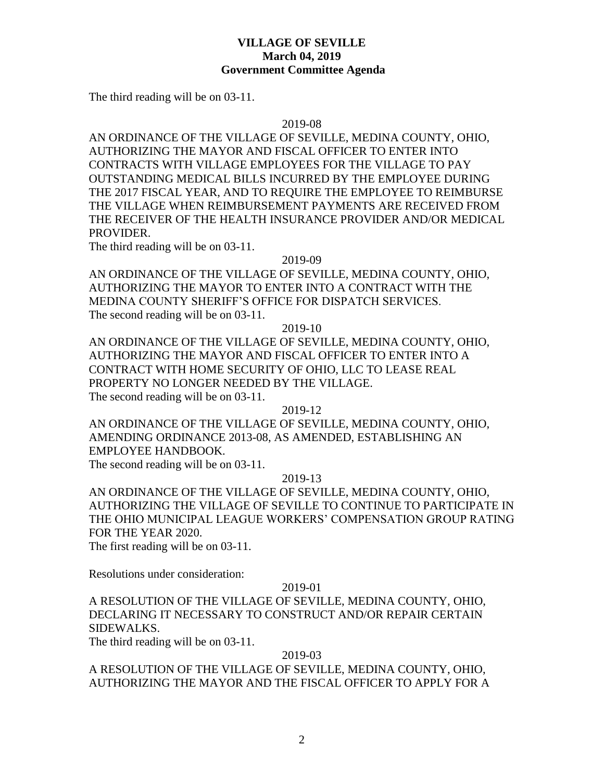## **VILLAGE OF SEVILLE March 04, 2019 Government Committee Agenda**

The third reading will be on 03-11.

#### 2019-08

AN ORDINANCE OF THE VILLAGE OF SEVILLE, MEDINA COUNTY, OHIO, AUTHORIZING THE MAYOR AND FISCAL OFFICER TO ENTER INTO CONTRACTS WITH VILLAGE EMPLOYEES FOR THE VILLAGE TO PAY OUTSTANDING MEDICAL BILLS INCURRED BY THE EMPLOYEE DURING THE 2017 FISCAL YEAR, AND TO REQUIRE THE EMPLOYEE TO REIMBURSE THE VILLAGE WHEN REIMBURSEMENT PAYMENTS ARE RECEIVED FROM THE RECEIVER OF THE HEALTH INSURANCE PROVIDER AND/OR MEDICAL PROVIDER.

The third reading will be on 03-11.

#### 2019-09

AN ORDINANCE OF THE VILLAGE OF SEVILLE, MEDINA COUNTY, OHIO, AUTHORIZING THE MAYOR TO ENTER INTO A CONTRACT WITH THE MEDINA COUNTY SHERIFF'S OFFICE FOR DISPATCH SERVICES. The second reading will be on 03-11.

### 2019-10

AN ORDINANCE OF THE VILLAGE OF SEVILLE, MEDINA COUNTY, OHIO, AUTHORIZING THE MAYOR AND FISCAL OFFICER TO ENTER INTO A CONTRACT WITH HOME SECURITY OF OHIO, LLC TO LEASE REAL PROPERTY NO LONGER NEEDED BY THE VILLAGE. The second reading will be on 03-11.

2019-12

AN ORDINANCE OF THE VILLAGE OF SEVILLE, MEDINA COUNTY, OHIO, AMENDING ORDINANCE 2013-08, AS AMENDED, ESTABLISHING AN EMPLOYEE HANDBOOK.

The second reading will be on 03-11.

## 2019-13

AN ORDINANCE OF THE VILLAGE OF SEVILLE, MEDINA COUNTY, OHIO, AUTHORIZING THE VILLAGE OF SEVILLE TO CONTINUE TO PARTICIPATE IN THE OHIO MUNICIPAL LEAGUE WORKERS' COMPENSATION GROUP RATING FOR THE YEAR 2020.

The first reading will be on 03-11.

Resolutions under consideration:

### 2019-01

A RESOLUTION OF THE VILLAGE OF SEVILLE, MEDINA COUNTY, OHIO, DECLARING IT NECESSARY TO CONSTRUCT AND/OR REPAIR CERTAIN SIDEWALKS.

The third reading will be on 03-11.

### 2019-03

A RESOLUTION OF THE VILLAGE OF SEVILLE, MEDINA COUNTY, OHIO, AUTHORIZING THE MAYOR AND THE FISCAL OFFICER TO APPLY FOR A